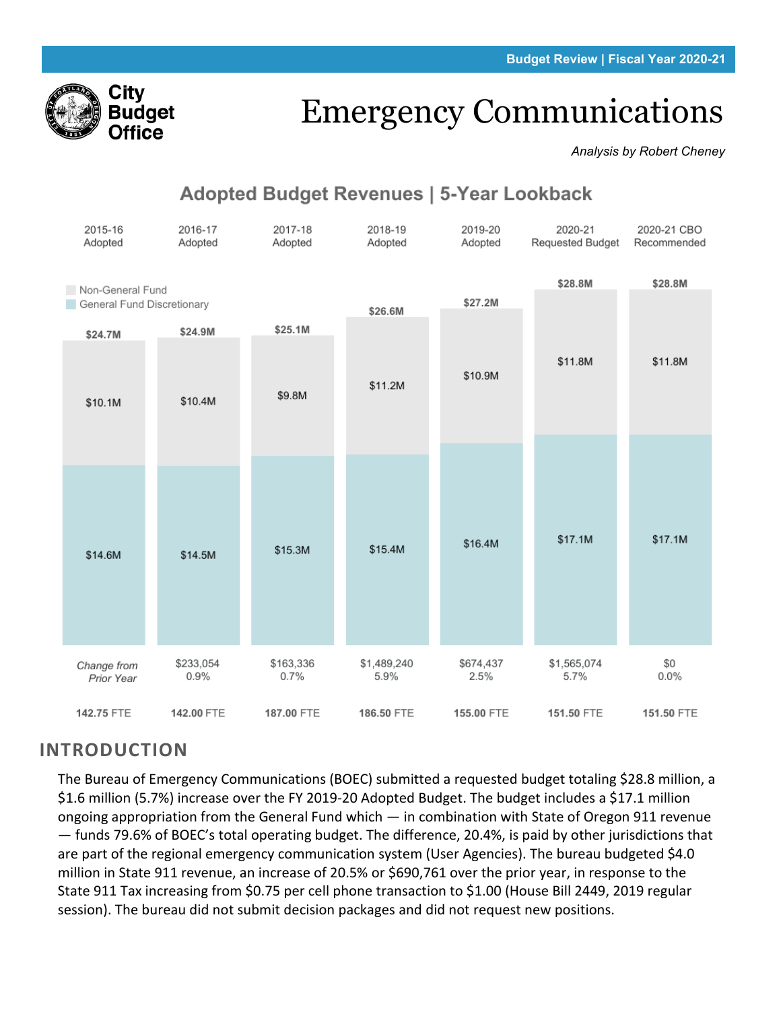

# Emergency Communications

*Analysis by Robert Cheney*



# **Adopted Budget Revenues | 5-Year Lookback**

# **INTRODUCTION**

The Bureau of Emergency Communications (BOEC) submitted a requested budget totaling \$28.8 million, a \$1.6 million (5.7%) increase over the FY 2019-20 Adopted Budget. The budget includes a \$17.1 million ongoing appropriation from the General Fund which — in combination with State of Oregon 911 revenue — funds 79.6% of BOEC's total operating budget. The difference, 20.4%, is paid by other jurisdictions that are part of the regional emergency communication system (User Agencies). The bureau budgeted \$4.0 million in State 911 revenue, an increase of 20.5% or \$690,761 over the prior year, in response to the State 911 Tax increasing from \$0.75 per cell phone transaction to \$1.00 (House Bill 2449, 2019 regular session). The bureau did not submit decision packages and did not request new positions.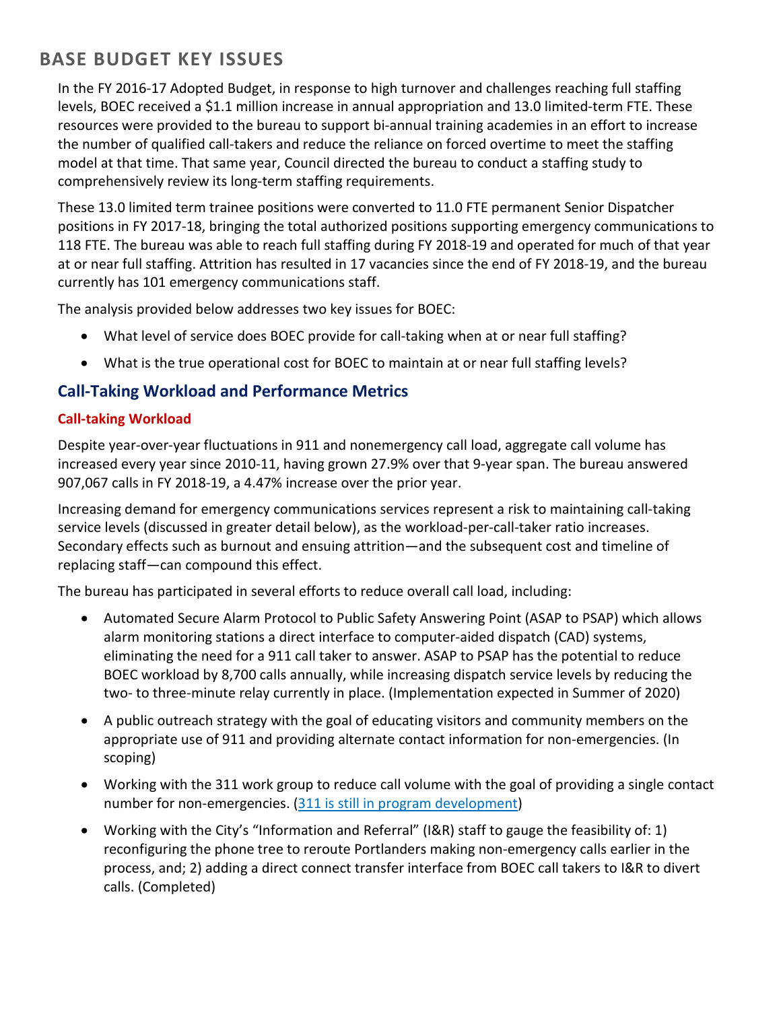# **BASE BUDGET KEY ISSUES**

In the FY 2016-17 Adopted Budget, in response to high turnover and challenges reaching full staffing levels, BOEC received a \$1.1 million increase in annual appropriation and 13.0 limited-term FTE. These resources were provided to the bureau to support bi-annual training academies in an effort to increase the number of qualified call-takers and reduce the reliance on forced overtime to meet the staffing model at that time. That same year, Council directed the bureau to conduct a staffing study to comprehensively review its long-term staffing requirements.

These 13.0 limited term trainee positions were converted to 11.0 FTE permanent Senior Dispatcher positions in FY 2017-18, bringing the total authorized positions supporting emergency communications to 118 FTE. The bureau was able to reach full staffing during FY 2018-19 and operated for much of that year at or near full staffing. Attrition has resulted in 17 vacancies since the end of FY 2018-19, and the bureau currently has 101 emergency communications staff.

The analysis provided below addresses two key issues for BOEC:

- What level of service does BOEC provide for call-taking when at or near full staffing?
- What is the true operational cost for BOEC to maintain at or near full staffing levels?

## **Call-Taking Workload and Performance Metrics**

## **Call-taking Workload**

Despite year-over-year fluctuations in 911 and nonemergency call load, aggregate call volume has increased every year since 2010-11, having grown 27.9% over that 9-year span. The bureau answered 907,067 calls in FY 2018-19, a 4.47% increase over the prior year.

Increasing demand for emergency communications services represent a risk to maintaining call-taking service levels (discussed in greater detail below), as the workload-per-call-taker ratio increases. Secondary effects such as burnout and ensuing attrition—and the subsequent cost and timeline of replacing staff—can compound this effect.

The bureau has participated in several efforts to reduce overall call load, including:

- Automated Secure Alarm Protocol to Public Safety Answering Point (ASAP to PSAP) which allows alarm monitoring stations a direct interface to computer-aided dispatch (CAD) systems, eliminating the need for a 911 call taker to answer. ASAP to PSAP has the potential to reduce BOEC workload by 8,700 calls annually, while increasing dispatch service levels by reducing the two- to three-minute relay currently in place. (Implementation expected in Summer of 2020)
- A public outreach strategy with the goal of educating visitors and community members on the appropriate use of 911 and providing alternate contact information for non-emergencies. (In scoping)
- Working with the 311 work group to reduce call volume with the goal of providing a single contact number for non-emergencies. [\(311 is still in program development\)](https://www.portlandoregon.gov/omf/article/705011)
- Working with the City's "Information and Referral" (I&R) staff to gauge the feasibility of: 1) reconfiguring the phone tree to reroute Portlanders making non-emergency calls earlier in the process, and; 2) adding a direct connect transfer interface from BOEC call takers to I&R to divert calls. (Completed)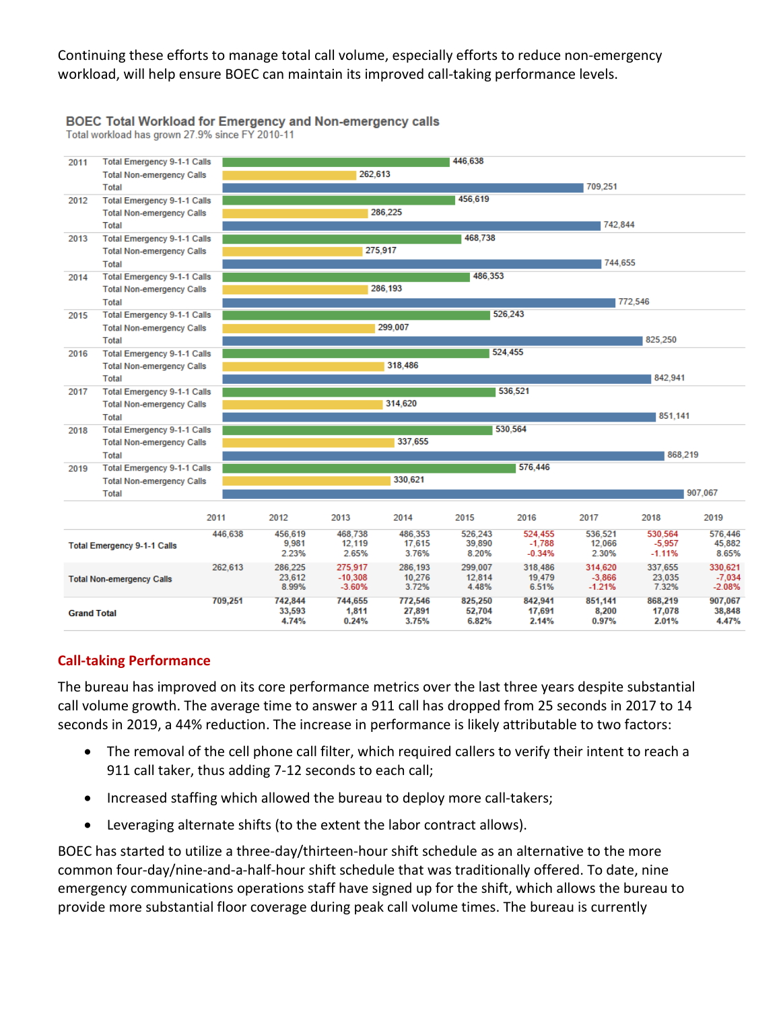Continuing these efforts to manage total call volume, especially efforts to reduce non-emergency workload, will help ensure BOEC can maintain its improved call-taking performance levels.

#### **BOEC Total Workload for Emergency and Non-emergency calls**

Total workload has grown 27.9% since FY 2010-11



## **Call-taking Performance**

The bureau has improved on its core performance metrics over the last three years despite substantial call volume growth. The average time to answer a 911 call has dropped from 25 seconds in 2017 to 14 seconds in 2019, a 44% reduction. The increase in performance is likely attributable to two factors:

- The removal of the cell phone call filter, which required callers to verify their intent to reach a 911 call taker, thus adding 7-12 seconds to each call;
- Increased staffing which allowed the bureau to deploy more call-takers;
- Leveraging alternate shifts (to the extent the labor contract allows).

BOEC has started to utilize a three-day/thirteen-hour shift schedule as an alternative to the more common four-day/nine-and-a-half-hour shift schedule that was traditionally offered. To date, nine emergency communications operations staff have signed up for the shift, which allows the bureau to provide more substantial floor coverage during peak call volume times. The bureau is currently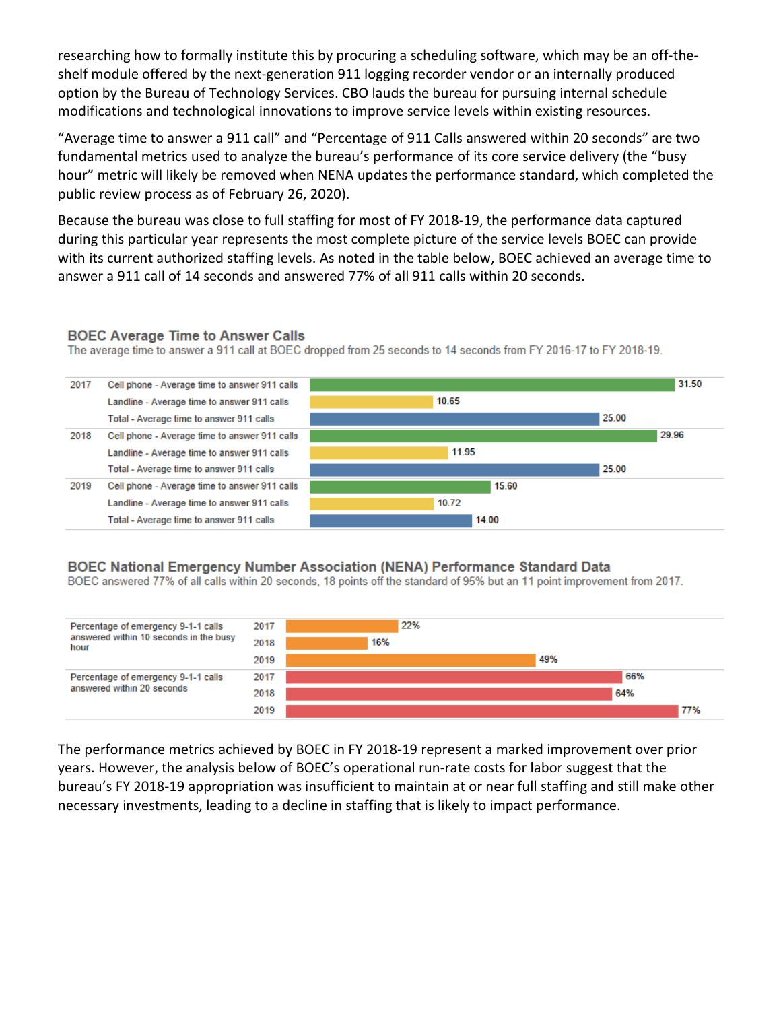researching how to formally institute this by procuring a scheduling software, which may be an off-theshelf module offered by the next-generation 911 logging recorder vendor or an internally produced option by the Bureau of Technology Services. CBO lauds the bureau for pursuing internal schedule modifications and technological innovations to improve service levels within existing resources.

"Average time to answer a 911 call" and "Percentage of 911 Calls answered within 20 seconds" are two fundamental metrics used to analyze the bureau's performance of its core service delivery (the "busy hour" metric will likely be removed when NENA updates the performance standard, which completed the public review process as of February 26, 2020).

Because the bureau was close to full staffing for most of FY 2018-19, the performance data captured during this particular year represents the most complete picture of the service levels BOEC can provide with its current authorized staffing levels. As noted in the table below, BOEC achieved an average time to answer a 911 call of 14 seconds and answered 77% of all 911 calls within 20 seconds.

#### **BOEC Average Time to Answer Calls**

The average time to answer a 911 call at BOEC dropped from 25 seconds to 14 seconds from FY 2016-17 to FY 2018-19.



#### BOEC National Emergency Number Association (NENA) Performance Standard Data

BOEC answered 77% of all calls within 20 seconds, 18 points off the standard of 95% but an 11 point improvement from 2017.



The performance metrics achieved by BOEC in FY 2018-19 represent a marked improvement over prior years. However, the analysis below of BOEC's operational run-rate costs for labor suggest that the bureau's FY 2018-19 appropriation was insufficient to maintain at or near full staffing and still make other necessary investments, leading to a decline in staffing that is likely to impact performance.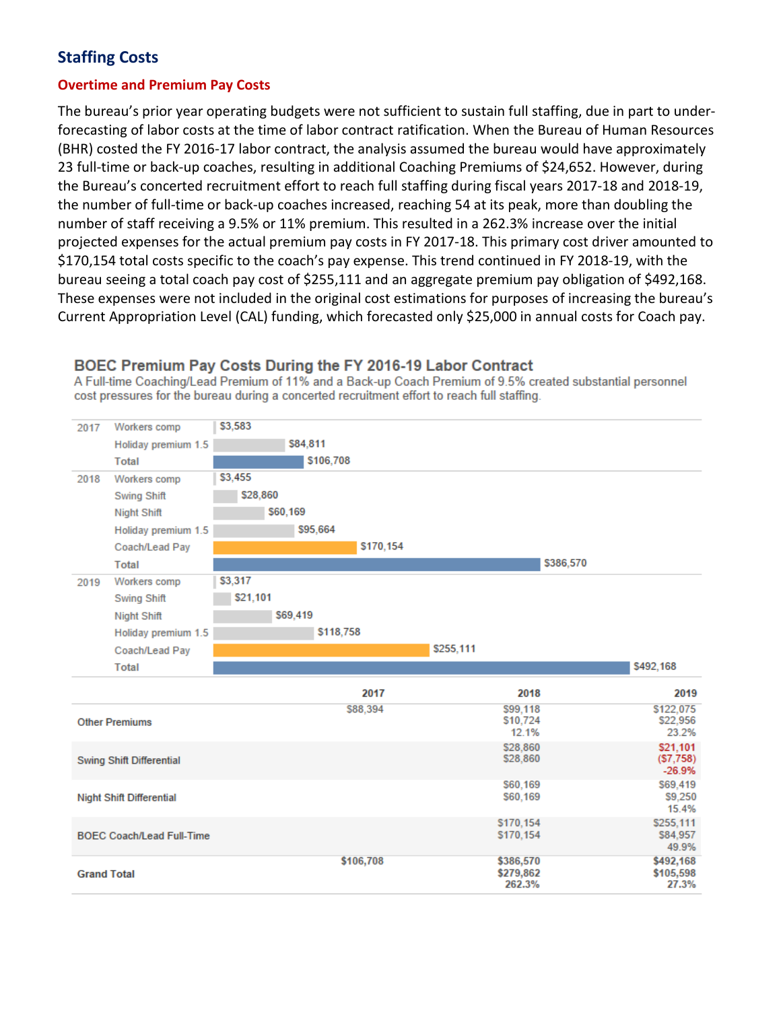## **Staffing Costs**

## **Overtime and Premium Pay Costs**

The bureau's prior year operating budgets were not sufficient to sustain full staffing, due in part to underforecasting of labor costs at the time of labor contract ratification. When the Bureau of Human Resources (BHR) costed the FY 2016-17 labor contract, the analysis assumed the bureau would have approximately 23 full-time or back-up coaches, resulting in additional Coaching Premiums of \$24,652. However, during the Bureau's concerted recruitment effort to reach full staffing during fiscal years 2017-18 and 2018-19, the number of full-time or back-up coaches increased, reaching 54 at its peak, more than doubling the number of staff receiving a 9.5% or 11% premium. This resulted in a 262.3% increase over the initial projected expenses for the actual premium pay costs in FY 2017-18. This primary cost driver amounted to \$170,154 total costs specific to the coach's pay expense. This trend continued in FY 2018-19, with the bureau seeing a total coach pay cost of \$255,111 and an aggregate premium pay obligation of \$492,168. These expenses were not included in the original cost estimations for purposes of increasing the bureau's Current Appropriation Level (CAL) funding, which forecasted only \$25,000 in annual costs for Coach pay.

### BOEC Premium Pay Costs During the FY 2016-19 Labor Contract

A Full-time Coaching/Lead Premium of 11% and a Back-up Coach Premium of 9.5% created substantial personnel cost pressures for the bureau during a concerted recruitment effort to reach full staffing.

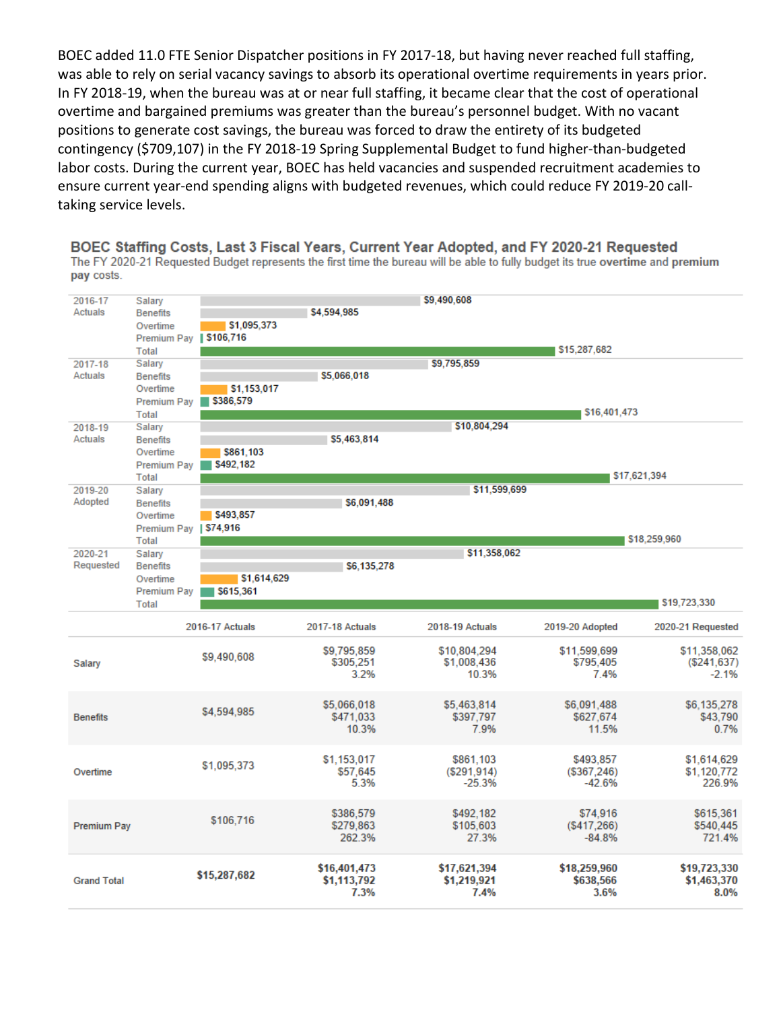BOEC added 11.0 FTE Senior Dispatcher positions in FY 2017-18, but having never reached full staffing, was able to rely on serial vacancy savings to absorb its operational overtime requirements in years prior. In FY 2018-19, when the bureau was at or near full staffing, it became clear that the cost of operational overtime and bargained premiums was greater than the bureau's personnel budget. With no vacant positions to generate cost savings, the bureau was forced to draw the entirety of its budgeted contingency (\$709,107) in the FY 2018-19 Spring Supplemental Budget to fund higher-than-budgeted labor costs. During the current year, BOEC has held vacancies and suspended recruitment academies to ensure current year-end spending aligns with budgeted revenues, which could reduce FY 2019-20 calltaking service levels.

BOEC Staffing Costs, Last 3 Fiscal Years, Current Year Adopted, and FY 2020-21 Requested The FY 2020-21 Requested Budget represents the first time the bureau will be able to fully budget its true overtime and premium pay costs.

| 2016-17            | Salary                  |                          |                     | \$9,490,608         |                   |                     |
|--------------------|-------------------------|--------------------------|---------------------|---------------------|-------------------|---------------------|
| <b>Actuals</b>     | <b>Benefits</b>         |                          | \$4.594.985         |                     |                   |                     |
|                    |                         |                          |                     |                     |                   |                     |
|                    | Overtime                | \$1,095,373              |                     |                     |                   |                     |
|                    | Premium Pay   \$106,716 |                          |                     |                     |                   |                     |
|                    | <b>Total</b>            |                          |                     |                     | \$15,287,682      |                     |
| 2017-18            | <b>Salary</b>           |                          |                     | \$9,795,859         |                   |                     |
| Actuals            | <b>Benefits</b>         |                          | \$5,066,018         |                     |                   |                     |
|                    | Overtime                | \$1,153,017              |                     |                     |                   |                     |
|                    | Premium Pay             | $\blacksquare$ \$386,579 |                     |                     |                   |                     |
|                    | <b>Total</b>            |                          |                     |                     | \$16,401,473      |                     |
| 2018-19            | Salary                  |                          |                     | \$10,804,294        |                   |                     |
| Actuals            | <b>Benefits</b>         |                          | \$5,463,814         |                     |                   |                     |
|                    | Overtime                |                          |                     |                     |                   |                     |
|                    |                         | \$861,103                |                     |                     |                   |                     |
|                    | <b>Premium Pay</b>      | \$492,182                |                     |                     |                   | \$17.621.394        |
|                    | Total                   |                          |                     |                     |                   |                     |
| 2019-20            | Salary                  |                          |                     | \$11,599,699        |                   |                     |
| Adopted            | <b>Benefits</b>         |                          | \$6,091,488         |                     |                   |                     |
|                    | Overtime                | \$493,857                |                     |                     |                   |                     |
|                    | Premium Pay   \$74,916  |                          |                     |                     |                   |                     |
|                    | Total                   |                          |                     |                     |                   | \$18,259,960        |
| 2020-21            | Salary                  |                          |                     | \$11,358,062        |                   |                     |
| Requested          | <b>Benefits</b>         |                          | \$6,135,278         |                     |                   |                     |
|                    | Overtime                | \$1,614,629              |                     |                     |                   |                     |
|                    | <b>Premium Pay</b>      | \$615,361                |                     |                     |                   |                     |
|                    |                         |                          |                     |                     |                   |                     |
|                    |                         |                          |                     |                     |                   |                     |
|                    | Total                   |                          |                     |                     |                   | \$19,723,330        |
|                    |                         | 2016-17 Actuals          | 2017-18 Actuals     | 2018-19 Actuals     | 2019-20 Adopted   | 2020-21 Requested   |
|                    |                         |                          |                     |                     |                   |                     |
|                    |                         | \$9,490,608              | \$9.795.859         | \$10,804,294        | \$11.599.699      | \$11,358,062        |
| Salary             |                         |                          | \$305,251           | \$1,008,436         | \$795,405         | (\$241, 637)        |
|                    |                         |                          | 3.2%                | 10.3%               | 7.4%              | $-2.1%$             |
|                    |                         |                          |                     |                     |                   |                     |
|                    |                         |                          |                     |                     |                   |                     |
|                    |                         | \$4,594,985              | \$5,066,018         | \$5.463,814         | \$6,091,488       | \$6,135,278         |
| <b>Benefits</b>    |                         |                          | \$471.033           | \$397.797           | \$627,674         | \$43.790            |
|                    |                         |                          | 10.3%               | 7.9%                | 11.5%             | 0.7%                |
|                    |                         |                          |                     |                     |                   |                     |
|                    |                         |                          | \$1.153,017         | \$861.103           | \$493.857         | \$1.614.629         |
| Overtime           |                         | \$1.095.373              | \$57.645            | (S291.914)          | (S367.246)        | \$1,120,772         |
|                    |                         |                          | 5.3%                | $-25.3%$            | $-42.6%$          | 226.9%              |
|                    |                         |                          |                     |                     |                   |                     |
|                    |                         |                          |                     |                     |                   |                     |
|                    |                         |                          | \$386,579           | \$492.182           | \$74,916          | \$615,361           |
| <b>Premium Pay</b> |                         | \$106,716                | \$279,863           | \$105,603           | ( \$417, 266)     | \$540.445           |
|                    |                         |                          | 262.3%              | 27.3%               | $-84.8%$          | 721.4%              |
|                    |                         |                          |                     |                     |                   |                     |
|                    |                         |                          |                     |                     |                   |                     |
|                    |                         | \$15,287,682             | \$16,401,473        | \$17,621,394        | \$18,259,960      | \$19,723,330        |
| <b>Grand Total</b> |                         |                          | \$1,113,792<br>7.3% | \$1,219,921<br>7.4% | \$638,566<br>3.6% | \$1,463,370<br>8.0% |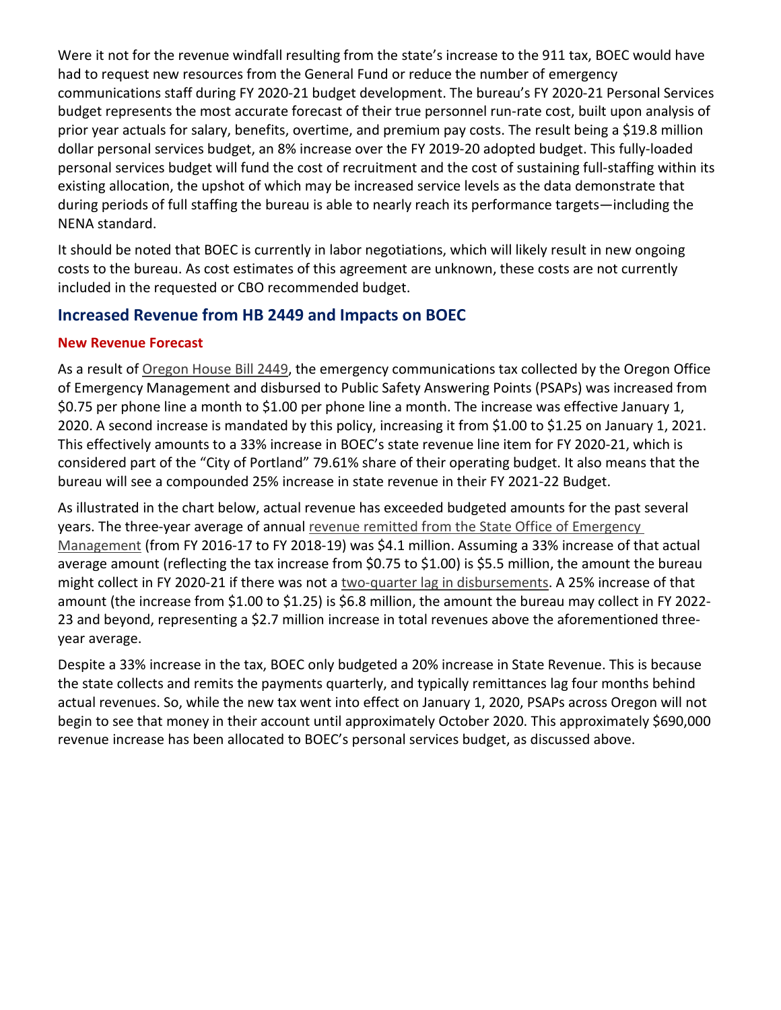Were it not for the revenue windfall resulting from the state's increase to the 911 tax, BOEC would have had to request new resources from the General Fund or reduce the number of emergency communications staff during FY 2020-21 budget development. The bureau's FY 2020-21 Personal Services budget represents the most accurate forecast of their true personnel run-rate cost, built upon analysis of prior year actuals for salary, benefits, overtime, and premium pay costs. The result being a \$19.8 million dollar personal services budget, an 8% increase over the FY 2019-20 adopted budget. This fully-loaded personal services budget will fund the cost of recruitment and the cost of sustaining full-staffing within its existing allocation, the upshot of which may be increased service levels as the data demonstrate that during periods of full staffing the bureau is able to nearly reach its performance targets—including the NENA standard.

It should be noted that BOEC is currently in labor negotiations, which will likely result in new ongoing costs to the bureau. As cost estimates of this agreement are unknown, these costs are not currently included in the requested or CBO recommended budget.

## **Increased Revenue from HB 2449 and Impacts on BOEC**

## **New Revenue Forecast**

As a result of [Oregon House Bill 2449,](https://olis.leg.state.or.us/liz/2019R1/Downloads/MeasureDocument/HB2449/Enrolled) the emergency communications tax collected by the Oregon Office of Emergency Management and disbursed to Public Safety Answering Points (PSAPs) was increased from \$0.75 per phone line a month to \$1.00 per phone line a month. The increase was effective January 1, 2020. A second increase is mandated by this policy, increasing it from \$1.00 to \$1.25 on January 1, 2021. This effectively amounts to a 33% increase in BOEC's state revenue line item for FY 2020-21, which is considered part of the "City of Portland" 79.61% share of their operating budget. It also means that the bureau will see a compounded 25% increase in state revenue in their FY 2021-22 Budget.

As illustrated in the chart below, actual revenue has exceeded budgeted amounts for the past several years. The three-year average of annual [revenue remitted from the State Office of Emergency](https://www.oregon.gov/OEM/911/Pages/911-Tax-Distribution.aspx)  [Management](https://www.oregon.gov/OEM/911/Pages/911-Tax-Distribution.aspx) (from FY 2016-17 to FY 2018-19) was \$4.1 million. Assuming a 33% increase of that actual average amount (reflecting the tax increase from \$0.75 to \$1.00) is \$5.5 million, the amount the bureau might collect in FY 2020-21 if there was not [a two-quarter lag in disbursements.](https://www.oregon.gov/oem/Documents/2019_Q2_Financial_Letter.pdf) A 25% increase of that amount (the increase from \$1.00 to \$1.25) is \$6.8 million, the amount the bureau may collect in FY 2022- 23 and beyond, representing a \$2.7 million increase in total revenues above the aforementioned threeyear average.

Despite a 33% increase in the tax, BOEC only budgeted a 20% increase in State Revenue. This is because the state collects and remits the payments quarterly, and typically remittances lag four months behind actual revenues. So, while the new tax went into effect on January 1, 2020, PSAPs across Oregon will not begin to see that money in their account until approximately October 2020. This approximately \$690,000 revenue increase has been allocated to BOEC's personal services budget, as discussed above.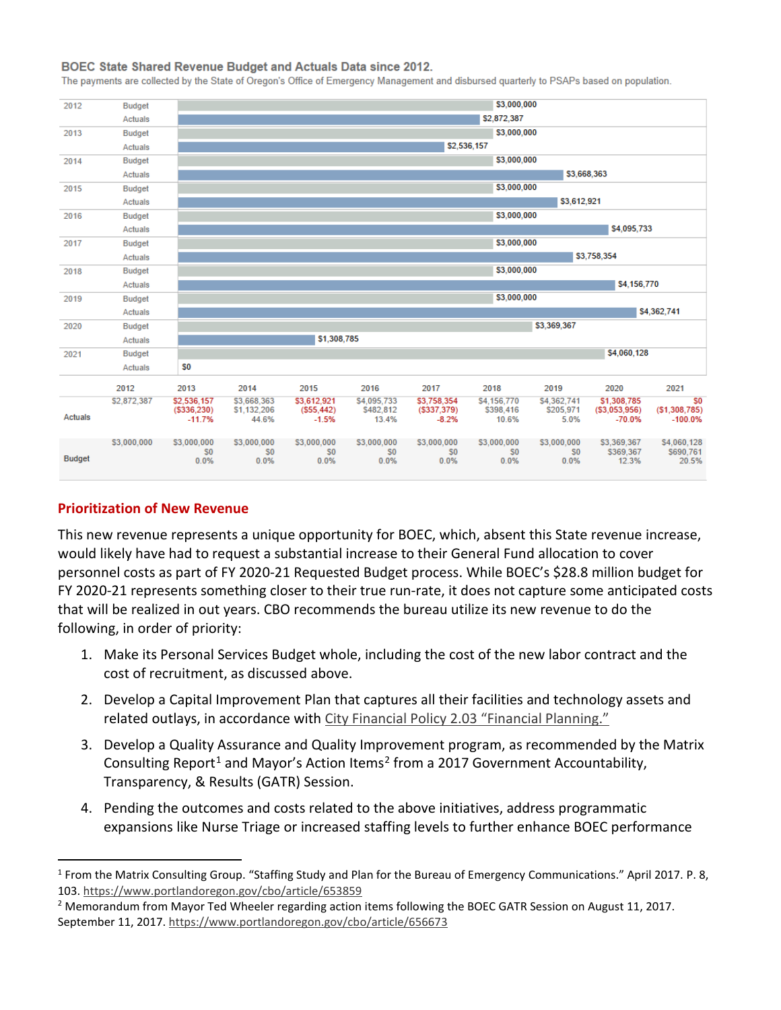#### BOEC State Shared Revenue Budget and Actuals Data since 2012.

The payments are collected by the State of Oregon's Office of Emergency Management and disbursed guarterly to PSAPs based on population.



#### **Prioritization of New Revenue**

This new revenue represents a unique opportunity for BOEC, which, absent this State revenue increase, would likely have had to request a substantial increase to their General Fund allocation to cover personnel costs as part of FY 2020-21 Requested Budget process. While BOEC's \$28.8 million budget for FY 2020-21 represents something closer to their true run-rate, it does not capture some anticipated costs that will be realized in out years. CBO recommends the bureau utilize its new revenue to do the following, in order of priority:

- 1. Make its Personal Services Budget whole, including the cost of the new labor contract and the cost of recruitment, as discussed above.
- 2. Develop a Capital Improvement Plan that captures all their facilities and technology assets and related outlays, in accordance wit[h City Financial Policy 2.03 "Financial Planning."](https://www.portlandoregon.gov/citycode/article/200789)
- 3. Develop a Quality Assurance and Quality Improvement program, as recommended by the Matrix Consulting Report<sup>1</sup> and Mayor's Action Items<sup>[2](#page-7-1)</sup> from a 2017 Government Accountability, Transparency, & Results (GATR) Session.
- 4. Pending the outcomes and costs related to the above initiatives, address programmatic expansions like Nurse Triage or increased staffing levels to further enhance BOEC performance

<span id="page-7-0"></span><sup>1</sup> From the Matrix Consulting Group. "Staffing Study and Plan for the Bureau of Emergency Communications." April 2017. P. 8, 103.<https://www.portlandoregon.gov/cbo/article/653859>

<span id="page-7-1"></span><sup>&</sup>lt;sup>2</sup> Memorandum from Mayor Ted Wheeler regarding action items following the BOEC GATR Session on August 11, 2017. September 11, 2017[. https://www.portlandoregon.gov/cbo/article/656673](https://www.portlandoregon.gov/cbo/article/656673)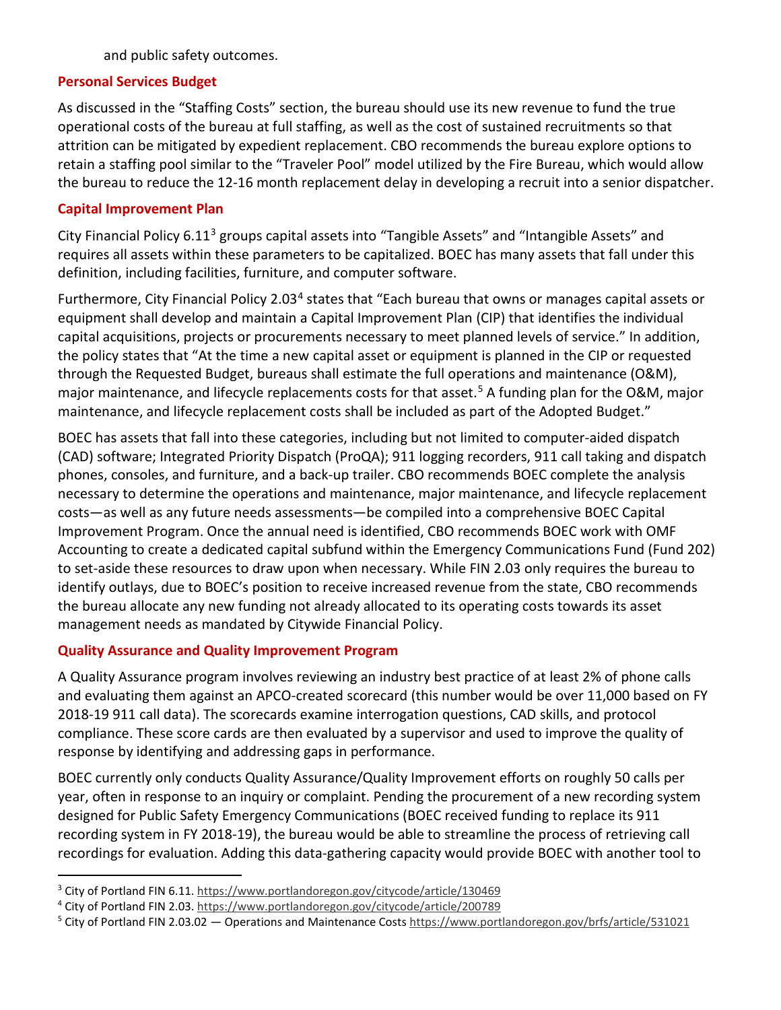and public safety outcomes.

### **Personal Services Budget**

As discussed in the "Staffing Costs" section, the bureau should use its new revenue to fund the true operational costs of the bureau at full staffing, as well as the cost of sustained recruitments so that attrition can be mitigated by expedient replacement. CBO recommends the bureau explore options to retain a staffing pool similar to the "Traveler Pool" model utilized by the Fire Bureau, which would allow the bureau to reduce the 12-16 month replacement delay in developing a recruit into a senior dispatcher.

## **Capital Improvement Plan**

City Financial Policy 6.11[3](#page-8-0) groups capital assets into "Tangible Assets" and "Intangible Assets" and requires all assets within these parameters to be capitalized. BOEC has many assets that fall under this definition, including facilities, furniture, and computer software.

Furthermore, City Financial Policy 2.03<sup>[4](#page-8-1)</sup> states that "Each bureau that owns or manages capital assets or equipment shall develop and maintain a Capital Improvement Plan (CIP) that identifies the individual capital acquisitions, projects or procurements necessary to meet planned levels of service." In addition, the policy states that "At the time a new capital asset or equipment is planned in the CIP or requested through the Requested Budget, bureaus shall estimate the full operations and maintenance (O&M), major maintenance, and lifecycle replacements costs for that asset.<sup>[5](#page-8-2)</sup> A funding plan for the O&M, major maintenance, and lifecycle replacement costs shall be included as part of the Adopted Budget."

BOEC has assets that fall into these categories, including but not limited to computer-aided dispatch (CAD) software; Integrated Priority Dispatch (ProQA); 911 logging recorders, 911 call taking and dispatch phones, consoles, and furniture, and a back-up trailer. CBO recommends BOEC complete the analysis necessary to determine the operations and maintenance, major maintenance, and lifecycle replacement costs—as well as any future needs assessments—be compiled into a comprehensive BOEC Capital Improvement Program. Once the annual need is identified, CBO recommends BOEC work with OMF Accounting to create a dedicated capital subfund within the Emergency Communications Fund (Fund 202) to set-aside these resources to draw upon when necessary. While FIN 2.03 only requires the bureau to identify outlays, due to BOEC's position to receive increased revenue from the state, CBO recommends the bureau allocate any new funding not already allocated to its operating costs towards its asset management needs as mandated by Citywide Financial Policy.

## **Quality Assurance and Quality Improvement Program**

A Quality Assurance program involves reviewing an industry best practice of at least 2% of phone calls and evaluating them against an APCO-created scorecard (this number would be over 11,000 based on FY 2018-19 911 call data). The scorecards examine interrogation questions, CAD skills, and protocol compliance. These score cards are then evaluated by a supervisor and used to improve the quality of response by identifying and addressing gaps in performance.

BOEC currently only conducts Quality Assurance/Quality Improvement efforts on roughly 50 calls per year, often in response to an inquiry or complaint. Pending the procurement of a new recording system designed for Public Safety Emergency Communications (BOEC received funding to replace its 911 recording system in FY 2018-19), the bureau would be able to streamline the process of retrieving call recordings for evaluation. Adding this data-gathering capacity would provide BOEC with another tool to

<span id="page-8-0"></span><sup>&</sup>lt;sup>3</sup> City of Portland FIN 6.11.<https://www.portlandoregon.gov/citycode/article/130469>

<span id="page-8-1"></span><sup>4</sup> City of Portland FIN 2.03.<https://www.portlandoregon.gov/citycode/article/200789>

<span id="page-8-2"></span><sup>5</sup> City of Portland FIN 2.03.02 — Operations and Maintenance Costs <https://www.portlandoregon.gov/brfs/article/531021>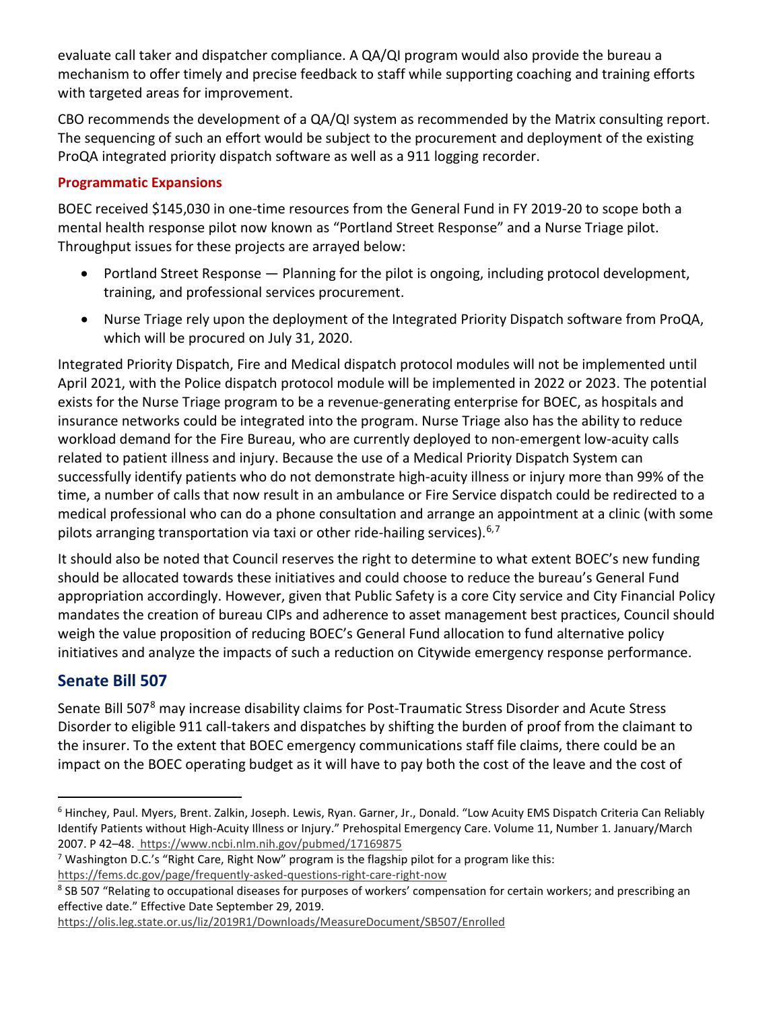evaluate call taker and dispatcher compliance. A QA/QI program would also provide the bureau a mechanism to offer timely and precise feedback to staff while supporting coaching and training efforts with targeted areas for improvement.

CBO recommends the development of a QA/QI system as recommended by the Matrix consulting report. The sequencing of such an effort would be subject to the procurement and deployment of the existing ProQA integrated priority dispatch software as well as a 911 logging recorder.

## **Programmatic Expansions**

BOEC received \$145,030 in one-time resources from the General Fund in FY 2019-20 to scope both a mental health response pilot now known as "Portland Street Response" and a Nurse Triage pilot. Throughput issues for these projects are arrayed below:

- Portland Street Response Planning for the pilot is ongoing, including protocol development, training, and professional services procurement.
- Nurse Triage rely upon the deployment of the Integrated Priority Dispatch software from ProQA, which will be procured on July 31, 2020.

Integrated Priority Dispatch, Fire and Medical dispatch protocol modules will not be implemented until April 2021, with the Police dispatch protocol module will be implemented in 2022 or 2023. The potential exists for the Nurse Triage program to be a revenue-generating enterprise for BOEC, as hospitals and insurance networks could be integrated into the program. Nurse Triage also has the ability to reduce workload demand for the Fire Bureau, who are currently deployed to non-emergent low-acuity calls related to patient illness and injury. Because the use of a Medical Priority Dispatch System can successfully identify patients who do not demonstrate high-acuity illness or injury more than 99% of the time, a number of calls that now result in an ambulance or Fire Service dispatch could be redirected to a medical professional who can do a phone consultation and arrange an appointment at a clinic (with some pilots arranging transportation via taxi or other ride-hailing services).<sup>[6,](#page-9-0)[7](#page-9-1)</sup>

It should also be noted that Council reserves the right to determine to what extent BOEC's new funding should be allocated towards these initiatives and could choose to reduce the bureau's General Fund appropriation accordingly. However, given that Public Safety is a core City service and City Financial Policy mandates the creation of bureau CIPs and adherence to asset management best practices, Council should weigh the value proposition of reducing BOEC's General Fund allocation to fund alternative policy initiatives and analyze the impacts of such a reduction on Citywide emergency response performance.

## **Senate Bill 507**

Senate Bill 507<sup>[8](#page-9-2)</sup> may increase disability claims for Post-Traumatic Stress Disorder and Acute Stress Disorder to eligible 911 call-takers and dispatches by shifting the burden of proof from the claimant to the insurer. To the extent that BOEC emergency communications staff file claims, there could be an impact on the BOEC operating budget as it will have to pay both the cost of the leave and the cost of

<span id="page-9-0"></span><sup>&</sup>lt;sup>6</sup> Hinchey, Paul. Myers, Brent. Zalkin, Joseph. Lewis, Ryan. Garner, Jr., Donald. "Low Acuity EMS Dispatch Criteria Can Reliably Identify Patients without High-Acuity Illness or Injury." Prehospital Emergency Care. Volume 11, Number 1. January/March 2007. P 42–48.<https://www.ncbi.nlm.nih.gov/pubmed/17169875>

<span id="page-9-1"></span><sup>&</sup>lt;sup>7</sup> Washington D.C.'s "Right Care, Right Now" program is the flagship pilot for a program like this: <https://fems.dc.gov/page/frequently-asked-questions-right-care-right-now>

<span id="page-9-2"></span><sup>&</sup>lt;sup>8</sup> SB 507 "Relating to occupational diseases for purposes of workers' compensation for certain workers; and prescribing an effective date." Effective Date September 29, 2019.

<https://olis.leg.state.or.us/liz/2019R1/Downloads/MeasureDocument/SB507/Enrolled>